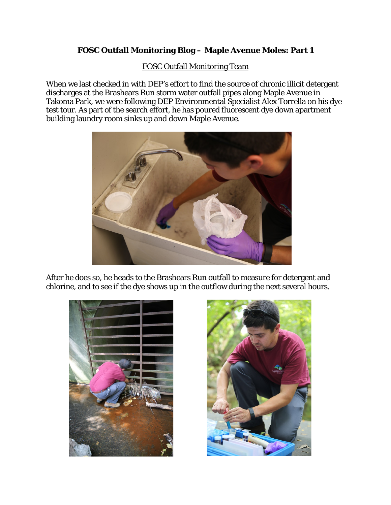## **FOSC Outfall Monitoring Blog – Maple Avenue Moles: Part 1**

## FOSC Outfall Monitoring Team

When we last checked in with DEP's effort to find the source of chronic illicit detergent discharges at the Brashears Run storm water outfall pipes along Maple Avenue in Takoma Park, we were following DEP Environmental Specialist Alex Torrella on his dye test tour. As part of the search effort, he has poured fluorescent dye down apartment building laundry room sinks up and down Maple Avenue.



After he does so, he heads to the Brashears Run outfall to measure for detergent and chlorine, and to see if the dye shows up in the outflow during the next several hours.



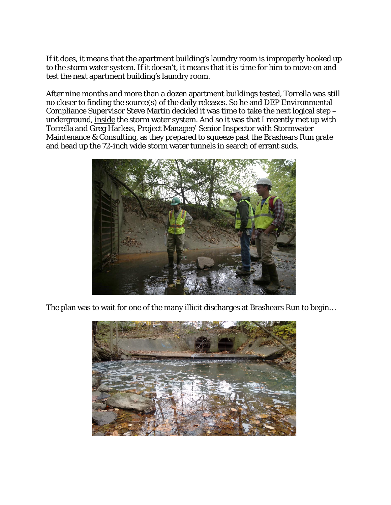If it does, it means that the apartment building's laundry room is improperly hooked up to the storm water system. If it doesn't, it means that it is time for him to move on and test the next apartment building's laundry room.

After nine months and more than a dozen apartment buildings tested, Torrella was still no closer to finding the source(s) of the daily releases. So he and DEP Environmental Compliance Supervisor Steve Martin decided it was time to take the next logical step – underground, inside the storm water system. And so it was that I recently met up with Torrella and Greg Harless, Project Manager/ Senior Inspector with Stormwater Maintenance & Consulting, as they prepared to squeeze past the Brashears Run grate and head up the 72-inch wide storm water tunnels in search of errant suds.



The plan was to wait for one of the many illicit discharges at Brashears Run to begin…